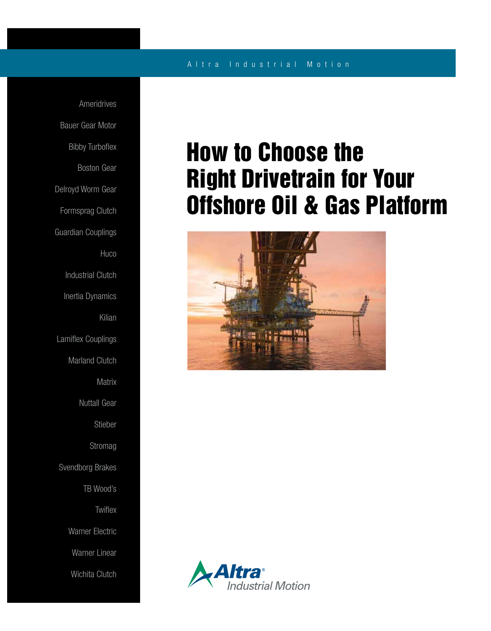### A l t r a I n d u s t r i a l M o t i o n

Ameridrives Bauer Gear Motor Bibby Turboflex Boston Gear Delroyd Worm Gear Formsprag Clutch Guardian Couplings **Huco** Industrial Clutch Inertia Dynamics Kilian Lamiflex Couplings Marland Clutch **Matrix** Nuttall Gear Stieber Stromag Svendborg Brakes TB Wood's **Twiflex** Warner Electric Warner Linear Wichita Clutch

# How to Choose the Right Drivetrain for Your Offshore Oil & Gas Platform



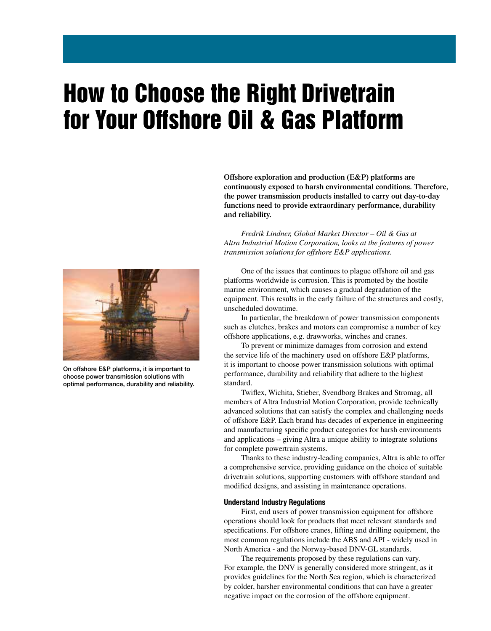# How to Choose the Right Drivetrain for Your Offshore Oil & Gas Platform



On offshore E&P platforms, it is important to choose power transmission solutions with optimal performance, durability and reliability. **Offshore exploration and production (E&P) platforms are continuously exposed to harsh environmental conditions. Therefore, the power transmission products installed to carry out day-to-day functions need to provide extraordinary performance, durability and reliability.**

 *Fredrik Lindner, Global Market Director – Oil & Gas at Altra Industrial Motion Corporation, looks at the features of power transmission solutions for offshore E&P applications.*

 One of the issues that continues to plague offshore oil and gas platforms worldwide is corrosion. This is promoted by the hostile marine environment, which causes a gradual degradation of the equipment. This results in the early failure of the structures and costly, unscheduled downtime.

 In particular, the breakdown of power transmission components such as clutches, brakes and motors can compromise a number of key offshore applications, e.g. drawworks, winches and cranes.

 To prevent or minimize damages from corrosion and extend the service life of the machinery used on offshore E&P platforms, it is important to choose power transmission solutions with optimal performance, durability and reliability that adhere to the highest standard.

 Twiflex, Wichita, Stieber, Svendborg Brakes and Stromag, all members of Altra Industrial Motion Corporation, provide technically advanced solutions that can satisfy the complex and challenging needs of offshore E&P. Each brand has decades of experience in engineering and manufacturing specific product categories for harsh environments and applications – giving Altra a unique ability to integrate solutions for complete powertrain systems.

 Thanks to these industry-leading companies, Altra is able to offer a comprehensive service, providing guidance on the choice of suitable drivetrain solutions, supporting customers with offshore standard and modified designs, and assisting in maintenance operations.

#### Understand Industry Regulations

 First, end users of power transmission equipment for offshore operations should look for products that meet relevant standards and specifications. For offshore cranes, lifting and drilling equipment, the most common regulations include the ABS and API - widely used in North America - and the Norway-based DNV-GL standards.

 The requirements proposed by these regulations can vary. For example, the DNV is generally considered more stringent, as it provides guidelines for the North Sea region, which is characterized by colder, harsher environmental conditions that can have a greater negative impact on the corrosion of the offshore equipment.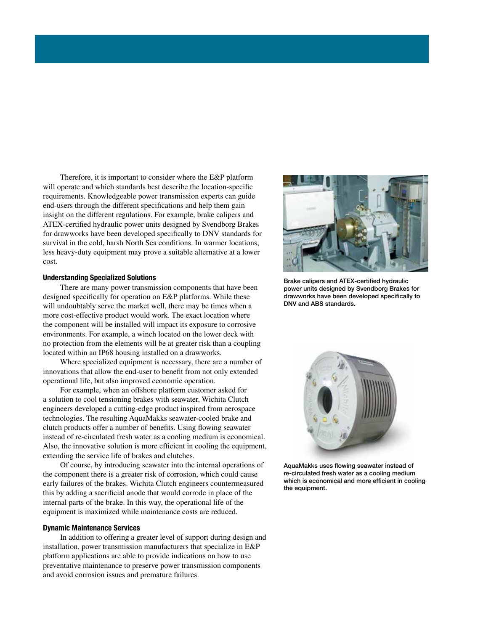Therefore, it is important to consider where the E&P platform will operate and which standards best describe the location-specific requirements. Knowledgeable power transmission experts can guide end-users through the different specifications and help them gain insight on the different regulations. For example, brake calipers and ATEX-certified hydraulic power units designed by Svendborg Brakes for drawworks have been developed specifically to DNV standards for survival in the cold, harsh North Sea conditions. In warmer locations, less heavy-duty equipment may prove a suitable alternative at a lower cost.

### Understanding Specialized Solutions

 There are many power transmission components that have been designed specifically for operation on E&P platforms. While these will undoubtably serve the market well, there may be times when a more cost-effective product would work. The exact location where the component will be installed will impact its exposure to corrosive environments. For example, a winch located on the lower deck with no protection from the elements will be at greater risk than a coupling located within an IP68 housing installed on a drawworks.

 Where specialized equipment is necessary, there are a number of innovations that allow the end-user to benefit from not only extended operational life, but also improved economic operation.

 For example, when an offshore platform customer asked for a solution to cool tensioning brakes with seawater, Wichita Clutch engineers developed a cutting-edge product inspired from aerospace technologies. The resulting AquaMakks seawater-cooled brake and clutch products offer a number of benefits. Using flowing seawater instead of re-circulated fresh water as a cooling medium is economical. Also, the innovative solution is more efficient in cooling the equipment, extending the service life of brakes and clutches.

 Of course, by introducing seawater into the internal operations of the component there is a greater risk of corrosion, which could cause early failures of the brakes. Wichita Clutch engineers countermeasured this by adding a sacrificial anode that would corrode in place of the internal parts of the brake. In this way, the operational life of the equipment is maximized while maintenance costs are reduced.

#### Dynamic Maintenance Services

 In addition to offering a greater level of support during design and installation, power transmission manufacturers that specialize in E&P platform applications are able to provide indications on how to use preventative maintenance to preserve power transmission components and avoid corrosion issues and premature failures.



Brake calipers and ATEX-certified hydraulic power units designed by Svendborg Brakes for drawworks have been developed specifically to DNV and ABS standards.



AquaMakks uses flowing seawater instead of re-circulated fresh water as a cooling medium which is economical and more efficient in cooling the equipment.